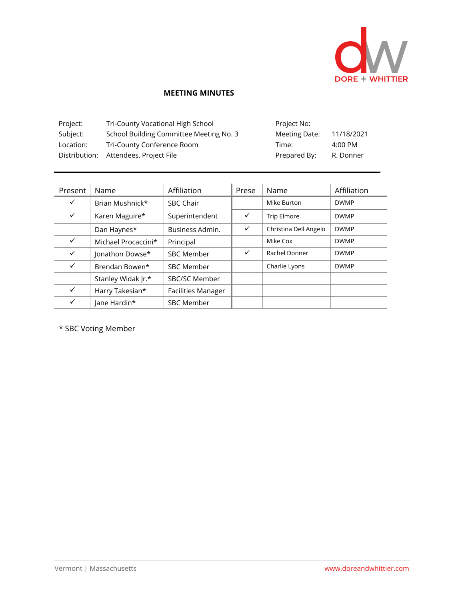

## **MEETING MINUTES**

| Project:  | Tri-County Vocational High School       | Project No:   |            |
|-----------|-----------------------------------------|---------------|------------|
| Subject:  | School Building Committee Meeting No. 3 | Meeting Date: | 11/18/2021 |
| Location: | Tri-County Conference Room              | Time:         | 4:00 PM    |
|           | Distribution: Attendees, Project File   | Prepared By:  | R. Donner  |

| Present      | Name                | Affiliation               | Prese | Name                  | Affiliation |
|--------------|---------------------|---------------------------|-------|-----------------------|-------------|
| $\checkmark$ | Brian Mushnick*     | <b>SBC Chair</b>          |       | Mike Burton           | <b>DWMP</b> |
| ✓            | Karen Maguire*      | Superintendent            | ✓     | <b>Trip Elmore</b>    | <b>DWMP</b> |
|              | Dan Haynes*         | Business Admin.           | ✓     | Christina Dell Angelo | <b>DWMP</b> |
| $\checkmark$ | Michael Procaccini* | Principal                 |       | Mike Cox              | <b>DWMP</b> |
| $\checkmark$ | Jonathon Dowse*     | <b>SBC Member</b>         | ✓     | Rachel Donner         | <b>DWMP</b> |
| $\checkmark$ | Brendan Bowen*      | <b>SBC Member</b>         |       | Charlie Lyons         | <b>DWMP</b> |
|              | Stanley Widak Jr.*  | SBC/SC Member             |       |                       |             |
| $\checkmark$ | Harry Takesian*     | <b>Facilities Manager</b> |       |                       |             |
| ✓            | lane Hardin*        | <b>SBC Member</b>         |       |                       |             |

\* SBC Voting Member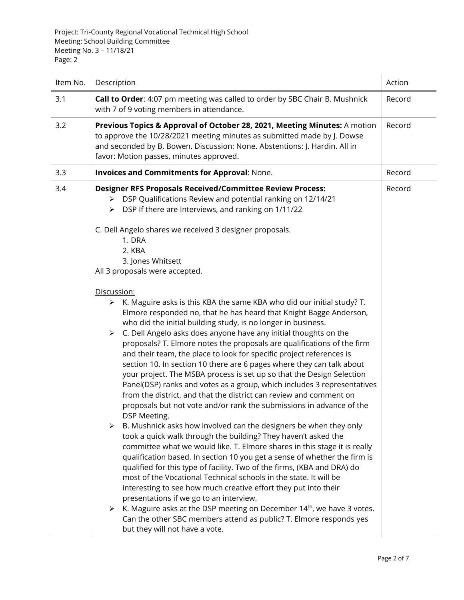| Item No. | Description                                                                                                                                                                                                                                                                                                                                                                                                                                                                                                                                                                                                                                                                                                                                                                                                                                                                                                                                                                                                                                                                                                                                                                                                                                                                                                                                                                                                                                                                                                                                                                                                                                                                                                                                                                                                                                                                                                                                                                                   | Action |
|----------|-----------------------------------------------------------------------------------------------------------------------------------------------------------------------------------------------------------------------------------------------------------------------------------------------------------------------------------------------------------------------------------------------------------------------------------------------------------------------------------------------------------------------------------------------------------------------------------------------------------------------------------------------------------------------------------------------------------------------------------------------------------------------------------------------------------------------------------------------------------------------------------------------------------------------------------------------------------------------------------------------------------------------------------------------------------------------------------------------------------------------------------------------------------------------------------------------------------------------------------------------------------------------------------------------------------------------------------------------------------------------------------------------------------------------------------------------------------------------------------------------------------------------------------------------------------------------------------------------------------------------------------------------------------------------------------------------------------------------------------------------------------------------------------------------------------------------------------------------------------------------------------------------------------------------------------------------------------------------------------------------|--------|
| 3.1      | Call to Order: 4:07 pm meeting was called to order by SBC Chair B. Mushnick<br>with 7 of 9 voting members in attendance.                                                                                                                                                                                                                                                                                                                                                                                                                                                                                                                                                                                                                                                                                                                                                                                                                                                                                                                                                                                                                                                                                                                                                                                                                                                                                                                                                                                                                                                                                                                                                                                                                                                                                                                                                                                                                                                                      | Record |
| 3.2      | Previous Topics & Approval of October 28, 2021, Meeting Minutes: A motion<br>to approve the 10/28/2021 meeting minutes as submitted made by J. Dowse<br>and seconded by B. Bowen. Discussion: None. Abstentions: J. Hardin. All in<br>favor: Motion passes, minutes approved.                                                                                                                                                                                                                                                                                                                                                                                                                                                                                                                                                                                                                                                                                                                                                                                                                                                                                                                                                                                                                                                                                                                                                                                                                                                                                                                                                                                                                                                                                                                                                                                                                                                                                                                 | Record |
| 3.3      | <b>Invoices and Commitments for Approval: None.</b>                                                                                                                                                                                                                                                                                                                                                                                                                                                                                                                                                                                                                                                                                                                                                                                                                                                                                                                                                                                                                                                                                                                                                                                                                                                                                                                                                                                                                                                                                                                                                                                                                                                                                                                                                                                                                                                                                                                                           | Record |
| 3.4      | <b>Designer RFS Proposals Received/Committee Review Process:</b><br>DSP Qualifications Review and potential ranking on 12/14/21<br>≻<br>DSP If there are Interviews, and ranking on 1/11/22<br>≻<br>C. Dell Angelo shares we received 3 designer proposals.<br>1. DRA<br>2. KBA<br>3. Jones Whitsett<br>All 3 proposals were accepted.<br>Discussion:<br>K. Maguire asks is this KBA the same KBA who did our initial study? T.<br>➤<br>Elmore responded no, that he has heard that Knight Bagge Anderson,<br>who did the initial building study, is no longer in business.<br>C. Dell Angelo asks does anyone have any initial thoughts on the<br>$\blacktriangleright$<br>proposals? T. Elmore notes the proposals are qualifications of the firm<br>and their team, the place to look for specific project references is<br>section 10. In section 10 there are 6 pages where they can talk about<br>your project. The MSBA process is set up so that the Design Selection<br>Panel(DSP) ranks and votes as a group, which includes 3 representatives<br>from the district, and that the district can review and comment on<br>proposals but not vote and/or rank the submissions in advance of the<br>DSP Meeting.<br>B. Mushnick asks how involved can the designers be when they only<br>➤<br>took a quick walk through the building? They haven't asked the<br>committee what we would like. T. Elmore shares in this stage it is really<br>qualification based. In section 10 you get a sense of whether the firm is<br>qualified for this type of facility. Two of the firms, (KBA and DRA) do<br>most of the Vocational Technical schools in the state. It will be<br>interesting to see how much creative effort they put into their<br>presentations if we go to an interview.<br>K. Maguire asks at the DSP meeting on December 14 <sup>th</sup> , we have 3 votes.<br>≻<br>Can the other SBC members attend as public? T. Elmore responds yes<br>but they will not have a vote. | Record |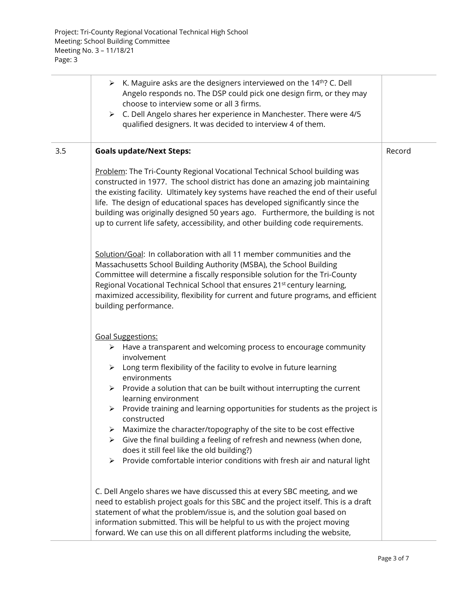|     | $\triangleright$ K. Maguire asks are the designers interviewed on the 14 <sup>th</sup> ? C. Dell<br>Angelo responds no. The DSP could pick one design firm, or they may<br>choose to interview some or all 3 firms.<br>C. Dell Angelo shares her experience in Manchester. There were 4/5<br>➤<br>qualified designers. It was decided to interview 4 of them.                                                                                                                                                                                                                                                                                                                                                                                                     |        |
|-----|-------------------------------------------------------------------------------------------------------------------------------------------------------------------------------------------------------------------------------------------------------------------------------------------------------------------------------------------------------------------------------------------------------------------------------------------------------------------------------------------------------------------------------------------------------------------------------------------------------------------------------------------------------------------------------------------------------------------------------------------------------------------|--------|
| 3.5 | <b>Goals update/Next Steps:</b>                                                                                                                                                                                                                                                                                                                                                                                                                                                                                                                                                                                                                                                                                                                                   | Record |
|     | Problem: The Tri-County Regional Vocational Technical School building was<br>constructed in 1977. The school district has done an amazing job maintaining<br>the existing facility. Ultimately key systems have reached the end of their useful<br>life. The design of educational spaces has developed significantly since the<br>building was originally designed 50 years ago. Furthermore, the building is not<br>up to current life safety, accessibility, and other building code requirements.                                                                                                                                                                                                                                                             |        |
|     | Solution/Goal: In collaboration with all 11 member communities and the<br>Massachusetts School Building Authority (MSBA), the School Building<br>Committee will determine a fiscally responsible solution for the Tri-County<br>Regional Vocational Technical School that ensures 21 <sup>st</sup> century learning,<br>maximized accessibility, flexibility for current and future programs, and efficient<br>building performance.                                                                                                                                                                                                                                                                                                                              |        |
|     | <b>Goal Suggestions:</b><br>$\triangleright$ Have a transparent and welcoming process to encourage community<br>involvement<br>$\triangleright$ Long term flexibility of the facility to evolve in future learning<br>environments<br>Provide a solution that can be built without interrupting the current<br>$\blacktriangleright$<br>learning environment<br>Provide training and learning opportunities for students as the project is<br>≻<br>constructed<br>Maximize the character/topography of the site to be cost effective<br>➤<br>$\triangleright$ Give the final building a feeling of refresh and newness (when done,<br>does it still feel like the old building?)<br>Provide comfortable interior conditions with fresh air and natural light<br>≻ |        |
|     | C. Dell Angelo shares we have discussed this at every SBC meeting, and we<br>need to establish project goals for this SBC and the project itself. This is a draft<br>statement of what the problem/issue is, and the solution goal based on<br>information submitted. This will be helpful to us with the project moving<br>forward. We can use this on all different platforms including the website,                                                                                                                                                                                                                                                                                                                                                            |        |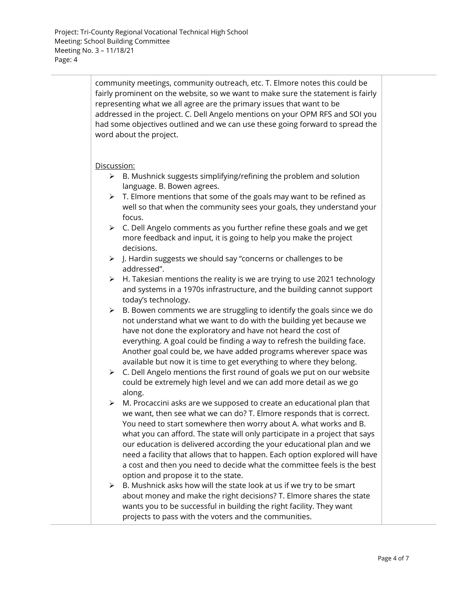community meetings, community outreach, etc. T. Elmore notes this could be fairly prominent on the website, so we want to make sure the statement is fairly representing what we all agree are the primary issues that want to be addressed in the project. C. Dell Angelo mentions on your OPM RFS and SOI you had some objectives outlined and we can use these going forward to spread the word about the project.

## Discussion:

- $\triangleright$  B. Mushnick suggests simplifying/refining the problem and solution language. B. Bowen agrees.
- $\triangleright$  T. Elmore mentions that some of the goals may want to be refined as well so that when the community sees your goals, they understand your focus.
- ➢ C. Dell Angelo comments as you further refine these goals and we get more feedback and input, it is going to help you make the project decisions.
- ➢ J. Hardin suggests we should say "concerns or challenges to be addressed".
- ➢ H. Takesian mentions the reality is we are trying to use 2021 technology and systems in a 1970s infrastructure, and the building cannot support today's technology.
- $\triangleright$  B. Bowen comments we are struggling to identify the goals since we do not understand what we want to do with the building yet because we have not done the exploratory and have not heard the cost of everything. A goal could be finding a way to refresh the building face. Another goal could be, we have added programs wherever space was available but now it is time to get everything to where they belong.
- ➢ C. Dell Angelo mentions the first round of goals we put on our website could be extremely high level and we can add more detail as we go along.
- $\triangleright$  M. Procaccini asks are we supposed to create an educational plan that we want, then see what we can do? T. Elmore responds that is correct. You need to start somewhere then worry about A. what works and B. what you can afford. The state will only participate in a project that says our education is delivered according the your educational plan and we need a facility that allows that to happen. Each option explored will have a cost and then you need to decide what the committee feels is the best option and propose it to the state.
- $\triangleright$  B. Mushnick asks how will the state look at us if we try to be smart about money and make the right decisions? T. Elmore shares the state wants you to be successful in building the right facility. They want projects to pass with the voters and the communities.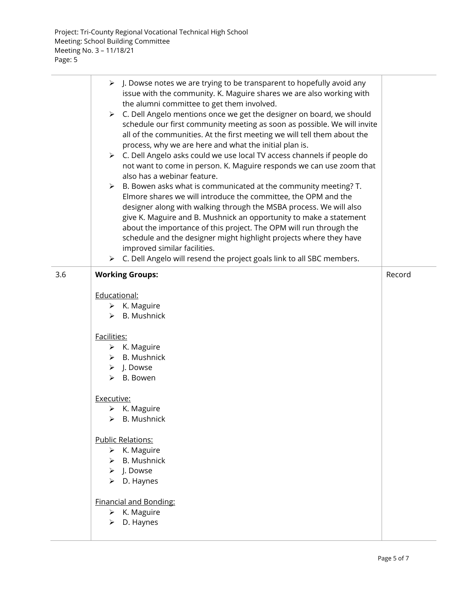|     | $\triangleright$ J. Dowse notes we are trying to be transparent to hopefully avoid any<br>issue with the community. K. Maguire shares we are also working with<br>the alumni committee to get them involved.<br>> C. Dell Angelo mentions once we get the designer on board, we should<br>schedule our first community meeting as soon as possible. We will invite<br>all of the communities. At the first meeting we will tell them about the<br>process, why we are here and what the initial plan is.<br>> C. Dell Angelo asks could we use local TV access channels if people do<br>not want to come in person. K. Maguire responds we can use zoom that<br>also has a webinar feature.<br>$\triangleright$ B. Bowen asks what is communicated at the community meeting? T.<br>Elmore shares we will introduce the committee, the OPM and the<br>designer along with walking through the MSBA process. We will also<br>give K. Maguire and B. Mushnick an opportunity to make a statement<br>about the importance of this project. The OPM will run through the<br>schedule and the designer might highlight projects where they have<br>improved similar facilities.<br>$\triangleright$ C. Dell Angelo will resend the project goals link to all SBC members. |        |
|-----|---------------------------------------------------------------------------------------------------------------------------------------------------------------------------------------------------------------------------------------------------------------------------------------------------------------------------------------------------------------------------------------------------------------------------------------------------------------------------------------------------------------------------------------------------------------------------------------------------------------------------------------------------------------------------------------------------------------------------------------------------------------------------------------------------------------------------------------------------------------------------------------------------------------------------------------------------------------------------------------------------------------------------------------------------------------------------------------------------------------------------------------------------------------------------------------------------------------------------------------------------------------------|--------|
| 3.6 | <b>Working Groups:</b>                                                                                                                                                                                                                                                                                                                                                                                                                                                                                                                                                                                                                                                                                                                                                                                                                                                                                                                                                                                                                                                                                                                                                                                                                                              | Record |
|     |                                                                                                                                                                                                                                                                                                                                                                                                                                                                                                                                                                                                                                                                                                                                                                                                                                                                                                                                                                                                                                                                                                                                                                                                                                                                     |        |
|     | Educational:                                                                                                                                                                                                                                                                                                                                                                                                                                                                                                                                                                                                                                                                                                                                                                                                                                                                                                                                                                                                                                                                                                                                                                                                                                                        |        |
|     | $\triangleright$ K. Maguire                                                                                                                                                                                                                                                                                                                                                                                                                                                                                                                                                                                                                                                                                                                                                                                                                                                                                                                                                                                                                                                                                                                                                                                                                                         |        |
|     | $\triangleright$ B. Mushnick                                                                                                                                                                                                                                                                                                                                                                                                                                                                                                                                                                                                                                                                                                                                                                                                                                                                                                                                                                                                                                                                                                                                                                                                                                        |        |
|     | Facilities:                                                                                                                                                                                                                                                                                                                                                                                                                                                                                                                                                                                                                                                                                                                                                                                                                                                                                                                                                                                                                                                                                                                                                                                                                                                         |        |
|     | $\triangleright$ K. Maguire                                                                                                                                                                                                                                                                                                                                                                                                                                                                                                                                                                                                                                                                                                                                                                                                                                                                                                                                                                                                                                                                                                                                                                                                                                         |        |
|     | $\triangleright$ B. Mushnick                                                                                                                                                                                                                                                                                                                                                                                                                                                                                                                                                                                                                                                                                                                                                                                                                                                                                                                                                                                                                                                                                                                                                                                                                                        |        |
|     | $\triangleright$ J. Dowse                                                                                                                                                                                                                                                                                                                                                                                                                                                                                                                                                                                                                                                                                                                                                                                                                                                                                                                                                                                                                                                                                                                                                                                                                                           |        |
|     | $\triangleright$ B. Bowen                                                                                                                                                                                                                                                                                                                                                                                                                                                                                                                                                                                                                                                                                                                                                                                                                                                                                                                                                                                                                                                                                                                                                                                                                                           |        |
|     |                                                                                                                                                                                                                                                                                                                                                                                                                                                                                                                                                                                                                                                                                                                                                                                                                                                                                                                                                                                                                                                                                                                                                                                                                                                                     |        |
|     | Executive:                                                                                                                                                                                                                                                                                                                                                                                                                                                                                                                                                                                                                                                                                                                                                                                                                                                                                                                                                                                                                                                                                                                                                                                                                                                          |        |
|     | $\triangleright$ K. Maguire                                                                                                                                                                                                                                                                                                                                                                                                                                                                                                                                                                                                                                                                                                                                                                                                                                                                                                                                                                                                                                                                                                                                                                                                                                         |        |
|     | <b>B.</b> Mushnick<br>⋗                                                                                                                                                                                                                                                                                                                                                                                                                                                                                                                                                                                                                                                                                                                                                                                                                                                                                                                                                                                                                                                                                                                                                                                                                                             |        |
|     | <b>Public Relations:</b>                                                                                                                                                                                                                                                                                                                                                                                                                                                                                                                                                                                                                                                                                                                                                                                                                                                                                                                                                                                                                                                                                                                                                                                                                                            |        |
|     | $\triangleright$ K. Maguire                                                                                                                                                                                                                                                                                                                                                                                                                                                                                                                                                                                                                                                                                                                                                                                                                                                                                                                                                                                                                                                                                                                                                                                                                                         |        |
|     | <b>B.</b> Mushnick<br>⋗                                                                                                                                                                                                                                                                                                                                                                                                                                                                                                                                                                                                                                                                                                                                                                                                                                                                                                                                                                                                                                                                                                                                                                                                                                             |        |
|     | J. Dowse<br>➤                                                                                                                                                                                                                                                                                                                                                                                                                                                                                                                                                                                                                                                                                                                                                                                                                                                                                                                                                                                                                                                                                                                                                                                                                                                       |        |
|     | D. Haynes<br>➤                                                                                                                                                                                                                                                                                                                                                                                                                                                                                                                                                                                                                                                                                                                                                                                                                                                                                                                                                                                                                                                                                                                                                                                                                                                      |        |
|     | <b>Financial and Bonding:</b>                                                                                                                                                                                                                                                                                                                                                                                                                                                                                                                                                                                                                                                                                                                                                                                                                                                                                                                                                                                                                                                                                                                                                                                                                                       |        |
|     | $\triangleright$ K. Maguire                                                                                                                                                                                                                                                                                                                                                                                                                                                                                                                                                                                                                                                                                                                                                                                                                                                                                                                                                                                                                                                                                                                                                                                                                                         |        |
|     | D. Haynes<br>⋗                                                                                                                                                                                                                                                                                                                                                                                                                                                                                                                                                                                                                                                                                                                                                                                                                                                                                                                                                                                                                                                                                                                                                                                                                                                      |        |
|     |                                                                                                                                                                                                                                                                                                                                                                                                                                                                                                                                                                                                                                                                                                                                                                                                                                                                                                                                                                                                                                                                                                                                                                                                                                                                     |        |
|     |                                                                                                                                                                                                                                                                                                                                                                                                                                                                                                                                                                                                                                                                                                                                                                                                                                                                                                                                                                                                                                                                                                                                                                                                                                                                     |        |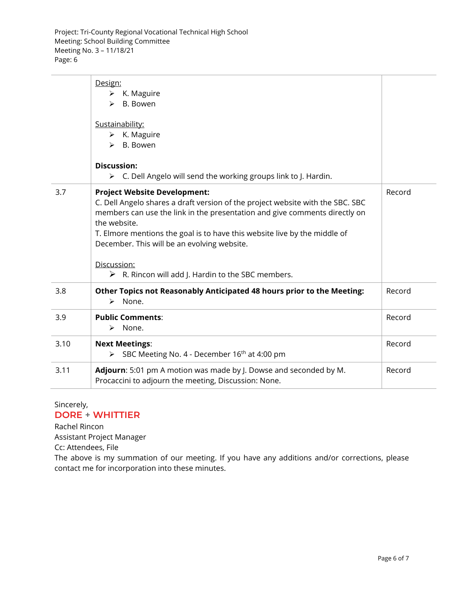|      | Design:<br>$\triangleright$ K. Maguire<br>B. Bowen<br>⋗<br>Sustainability:<br>$\triangleright$ K. Maguire<br>B. Bowen<br>⋗                                                                                                                                                                                                                                                                                                          |        |
|------|-------------------------------------------------------------------------------------------------------------------------------------------------------------------------------------------------------------------------------------------------------------------------------------------------------------------------------------------------------------------------------------------------------------------------------------|--------|
|      | <b>Discussion:</b><br>C. Dell Angelo will send the working groups link to J. Hardin.<br>$\triangleright$                                                                                                                                                                                                                                                                                                                            |        |
| 3.7  | <b>Project Website Development:</b><br>C. Dell Angelo shares a draft version of the project website with the SBC. SBC<br>members can use the link in the presentation and give comments directly on<br>the website.<br>T. Elmore mentions the goal is to have this website live by the middle of<br>December. This will be an evolving website.<br>Discussion:<br>$\triangleright$ R. Rincon will add J. Hardin to the SBC members. | Record |
| 3.8  | Other Topics not Reasonably Anticipated 48 hours prior to the Meeting:<br>None.<br>$\blacktriangleright$                                                                                                                                                                                                                                                                                                                            | Record |
| 3.9  | <b>Public Comments:</b><br>None.<br>➤                                                                                                                                                                                                                                                                                                                                                                                               | Record |
| 3.10 | <b>Next Meetings:</b><br>$\triangleright$ SBC Meeting No. 4 - December 16 <sup>th</sup> at 4:00 pm                                                                                                                                                                                                                                                                                                                                  | Record |
| 3.11 | Adjourn: 5:01 pm A motion was made by J. Dowse and seconded by M.<br>Procaccini to adjourn the meeting, Discussion: None.                                                                                                                                                                                                                                                                                                           | Record |

## Sincerely, DORE + WHITTIER

Rachel Rincon Assistant Project Manager Cc: Attendees, File

The above is my summation of our meeting. If you have any additions and/or corrections, please contact me for incorporation into these minutes.